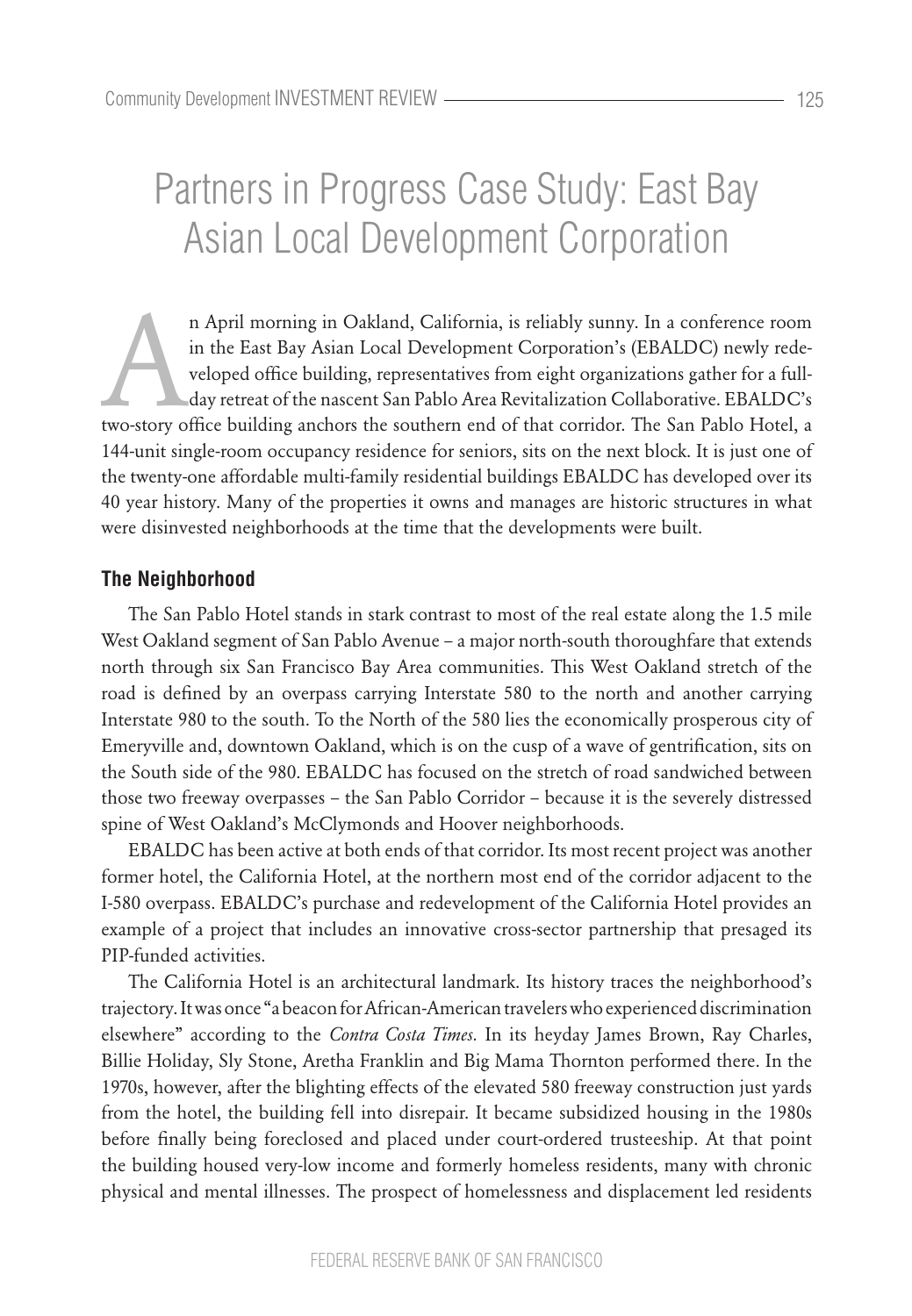# Partners in Progress Case Study: East Bay Asian Local Development Corporation

n April morning in Oakland, California, is reliably sunny. In a conference room<br>in the East Bay Asian Local Development Corporation's (EBALDC) newly rede-<br>veloped office building, representatives from eight organizations g in the East Bay Asian Local Development Corporation's (EBALDC) newly redeveloped office building, representatives from eight organizations gather for a fullday retreat of the nascent San Pablo Area Revitalization Collaborative. EBALDC's 144-unit single-room occupancy residence for seniors, sits on the next block. It is just one of the twenty-one affordable multi-family residential buildings EBALDC has developed over its 40 year history. Many of the properties it owns and manages are historic structures in what were disinvested neighborhoods at the time that the developments were built.

# **The Neighborhood**

The San Pablo Hotel stands in stark contrast to most of the real estate along the 1.5 mile West Oakland segment of San Pablo Avenue – a major north-south thoroughfare that extends north through six San Francisco Bay Area communities. This West Oakland stretch of the road is defined by an overpass carrying Interstate 580 to the north and another carrying Interstate 980 to the south. To the North of the 580 lies the economically prosperous city of Emeryville and, downtown Oakland, which is on the cusp of a wave of gentrification, sits on the South side of the 980. EBALDC has focused on the stretch of road sandwiched between those two freeway overpasses – the San Pablo Corridor – because it is the severely distressed spine of West Oakland's McClymonds and Hoover neighborhoods.

EBALDC has been active at both ends of that corridor. Its most recent project was another former hotel, the California Hotel, at the northern most end of the corridor adjacent to the I-580 overpass. EBALDC's purchase and redevelopment of the California Hotel provides an example of a project that includes an innovative cross-sector partnership that presaged its PIP-funded activities.

The California Hotel is an architectural landmark. Its history traces the neighborhood's trajectory. It was once "a beacon for African-American travelers who experienced discrimination elsewhere" according to the *Contra Costa Times.* In its heyday James Brown, Ray Charles, Billie Holiday, Sly Stone, Aretha Franklin and Big Mama Thornton performed there. In the 1970s, however, after the blighting effects of the elevated 580 freeway construction just yards from the hotel, the building fell into disrepair. It became subsidized housing in the 1980s before finally being foreclosed and placed under court-ordered trusteeship. At that point the building housed very-low income and formerly homeless residents, many with chronic physical and mental illnesses. The prospect of homelessness and displacement led residents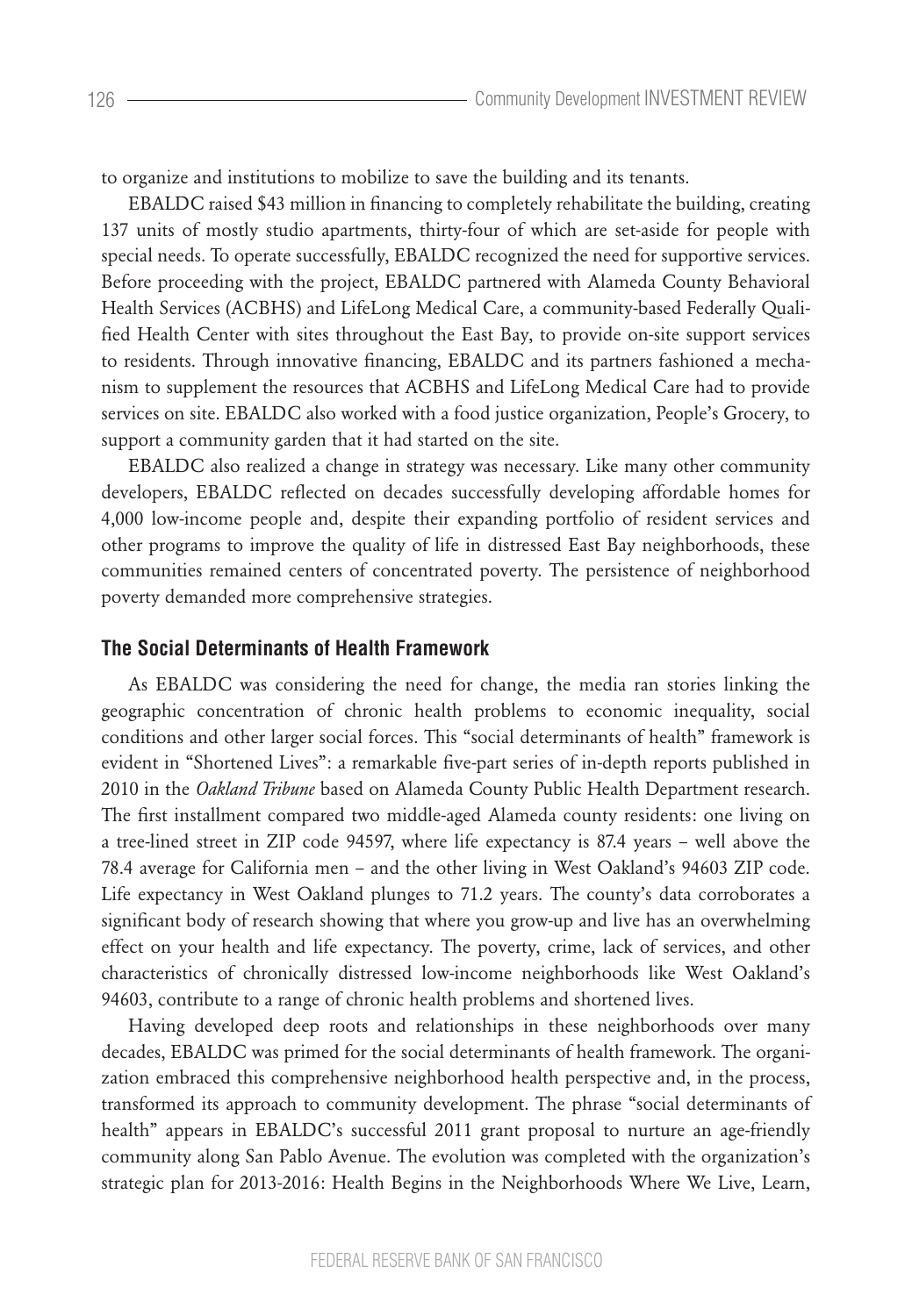to organize and institutions to mobilize to save the building and its tenants.

EBALDC raised \$43 million in financing to completely rehabilitate the building, creating 137 units of mostly studio apartments, thirty-four of which are set-aside for people with special needs. To operate successfully, EBALDC recognized the need for supportive services. Before proceeding with the project, EBALDC partnered with Alameda County Behavioral Health Services (ACBHS) and LifeLong Medical Care, a community-based Federally Qualified Health Center with sites throughout the East Bay, to provide on-site support services to residents. Through innovative financing, EBALDC and its partners fashioned a mechanism to supplement the resources that ACBHS and LifeLong Medical Care had to provide services on site. EBALDC also worked with a food justice organization, People's Grocery, to support a community garden that it had started on the site.

EBALDC also realized a change in strategy was necessary. Like many other community developers, EBALDC reflected on decades successfully developing affordable homes for 4,000 low-income people and, despite their expanding portfolio of resident services and other programs to improve the quality of life in distressed East Bay neighborhoods, these communities remained centers of concentrated poverty. The persistence of neighborhood poverty demanded more comprehensive strategies.

# **The Social Determinants of Health Framework**

As EBALDC was considering the need for change, the media ran stories linking the geographic concentration of chronic health problems to economic inequality, social conditions and other larger social forces. This "social determinants of health" framework is evident in "Shortened Lives": a remarkable five-part series of in-depth reports published in 2010 in the *Oakland Tribune* based on Alameda County Public Health Department research. The first installment compared two middle-aged Alameda county residents: one living on a tree-lined street in ZIP code 94597, where life expectancy is 87.4 years – well above the 78.4 average for California men – and the other living in West Oakland's 94603 ZIP code. Life expectancy in West Oakland plunges to 71.2 years. The county's data corroborates a significant body of research showing that where you grow-up and live has an overwhelming effect on your health and life expectancy. The poverty, crime, lack of services, and other characteristics of chronically distressed low-income neighborhoods like West Oakland's 94603, contribute to a range of chronic health problems and shortened lives.

Having developed deep roots and relationships in these neighborhoods over many decades, EBALDC was primed for the social determinants of health framework. The organization embraced this comprehensive neighborhood health perspective and, in the process, transformed its approach to community development. The phrase "social determinants of health" appears in EBALDC's successful 2011 grant proposal to nurture an age-friendly community along San Pablo Avenue. The evolution was completed with the organization's strategic plan for 2013-2016: Health Begins in the Neighborhoods Where We Live, Learn,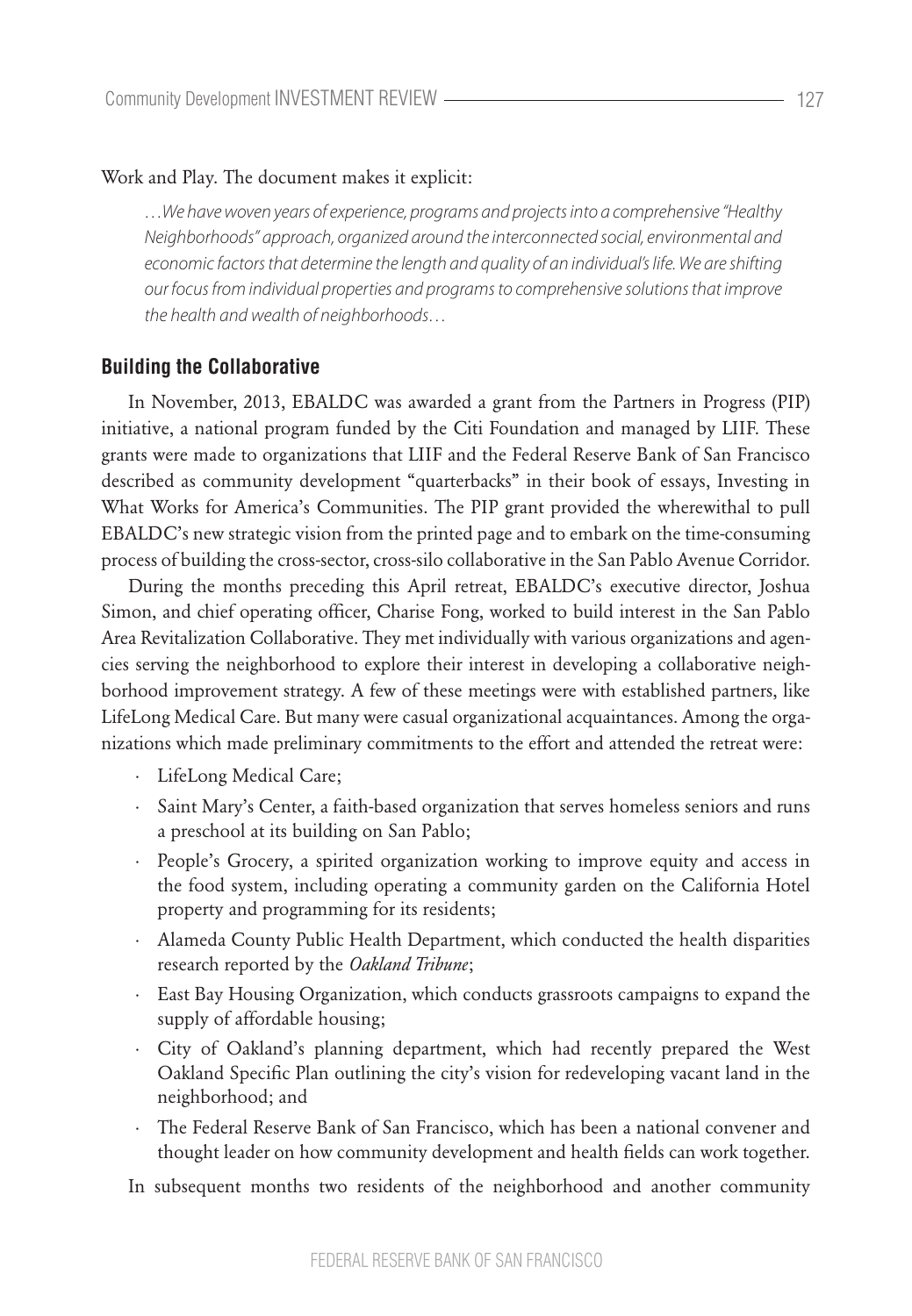#### Work and Play. The document makes it explicit:

*…We have woven years of experience, programs and projects into a comprehensive "Healthy Neighborhoods" approach, organized around the interconnected social, environmental and economic factors that determine the length and quality of an individual's life. We are shifting our focus from individual properties and programs to comprehensive solutions that improve the health and wealth of neighborhoods…*

## **Building the Collaborative**

In November, 2013, EBALDC was awarded a grant from the Partners in Progress (PIP) initiative, a national program funded by the Citi Foundation and managed by LIIF. These grants were made to organizations that LIIF and the Federal Reserve Bank of San Francisco described as community development "quarterbacks" in their book of essays, Investing in What Works for America's Communities. The PIP grant provided the wherewithal to pull EBALDC's new strategic vision from the printed page and to embark on the time-consuming process of building the cross-sector, cross-silo collaborative in the San Pablo Avenue Corridor.

During the months preceding this April retreat, EBALDC's executive director, Joshua Simon, and chief operating officer, Charise Fong, worked to build interest in the San Pablo Area Revitalization Collaborative. They met individually with various organizations and agencies serving the neighborhood to explore their interest in developing a collaborative neighborhood improvement strategy. A few of these meetings were with established partners, like LifeLong Medical Care. But many were casual organizational acquaintances. Among the organizations which made preliminary commitments to the effort and attended the retreat were:

- · LifeLong Medical Care;
- · Saint Mary's Center, a faith-based organization that serves homeless seniors and runs a preschool at its building on San Pablo;
- · People's Grocery, a spirited organization working to improve equity and access in the food system, including operating a community garden on the California Hotel property and programming for its residents;
- · Alameda County Public Health Department, which conducted the health disparities research reported by the *Oakland Tribune*;
- · East Bay Housing Organization, which conducts grassroots campaigns to expand the supply of affordable housing;
- · City of Oakland's planning department, which had recently prepared the West Oakland Specific Plan outlining the city's vision for redeveloping vacant land in the neighborhood; and
- · The Federal Reserve Bank of San Francisco, which has been a national convener and thought leader on how community development and health fields can work together.

In subsequent months two residents of the neighborhood and another community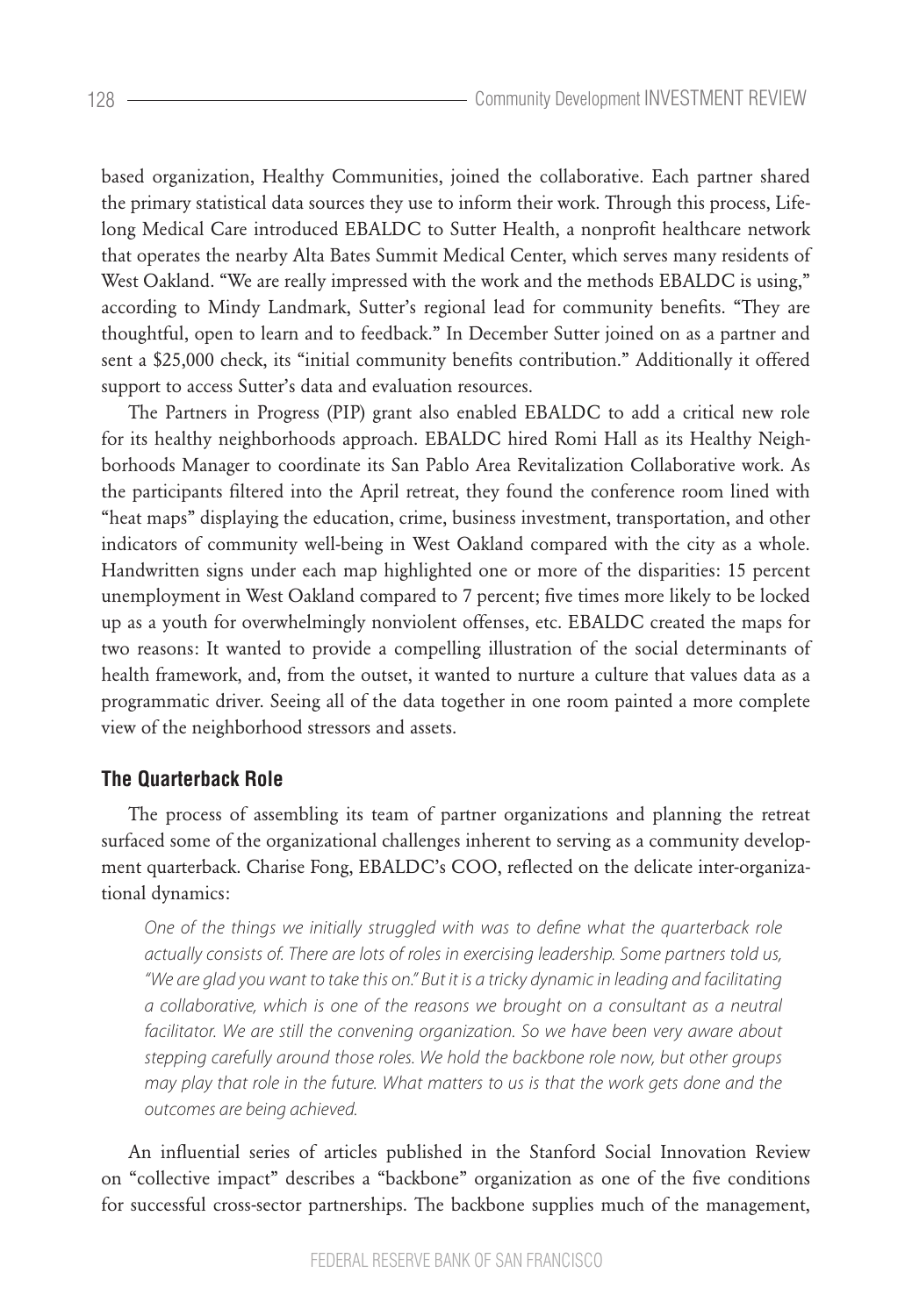based organization, Healthy Communities, joined the collaborative. Each partner shared the primary statistical data sources they use to inform their work. Through this process, Lifelong Medical Care introduced EBALDC to Sutter Health, a nonprofit healthcare network that operates the nearby Alta Bates Summit Medical Center, which serves many residents of West Oakland. "We are really impressed with the work and the methods EBALDC is using," according to Mindy Landmark, Sutter's regional lead for community benefits. "They are thoughtful, open to learn and to feedback." In December Sutter joined on as a partner and sent a \$25,000 check, its "initial community benefits contribution." Additionally it offered support to access Sutter's data and evaluation resources.

The Partners in Progress (PIP) grant also enabled EBALDC to add a critical new role for its healthy neighborhoods approach. EBALDC hired Romi Hall as its Healthy Neighborhoods Manager to coordinate its San Pablo Area Revitalization Collaborative work. As the participants filtered into the April retreat, they found the conference room lined with "heat maps" displaying the education, crime, business investment, transportation, and other indicators of community well-being in West Oakland compared with the city as a whole. Handwritten signs under each map highlighted one or more of the disparities: 15 percent unemployment in West Oakland compared to 7 percent; five times more likely to be locked up as a youth for overwhelmingly nonviolent offenses, etc. EBALDC created the maps for two reasons: It wanted to provide a compelling illustration of the social determinants of health framework, and, from the outset, it wanted to nurture a culture that values data as a programmatic driver. Seeing all of the data together in one room painted a more complete view of the neighborhood stressors and assets.

# **The Quarterback Role**

The process of assembling its team of partner organizations and planning the retreat surfaced some of the organizational challenges inherent to serving as a community development quarterback. Charise Fong, EBALDC's COO, reflected on the delicate inter-organizational dynamics:

*One of the things we initially struggled with was to define what the quarterback role actually consists of. There are lots of roles in exercising leadership. Some partners told us, "We are glad you want to take this on." But it is a tricky dynamic in leading and facilitating a collaborative, which is one of the reasons we brought on a consultant as a neutral*  facilitator. We are still the convening organization. So we have been very aware about *stepping carefully around those roles. We hold the backbone role now, but other groups may play that role in the future. What matters to us is that the work gets done and the outcomes are being achieved.*

An influential series of articles published in the Stanford Social Innovation Review on "collective impact" describes a "backbone" organization as one of the five conditions for successful cross-sector partnerships. The backbone supplies much of the management,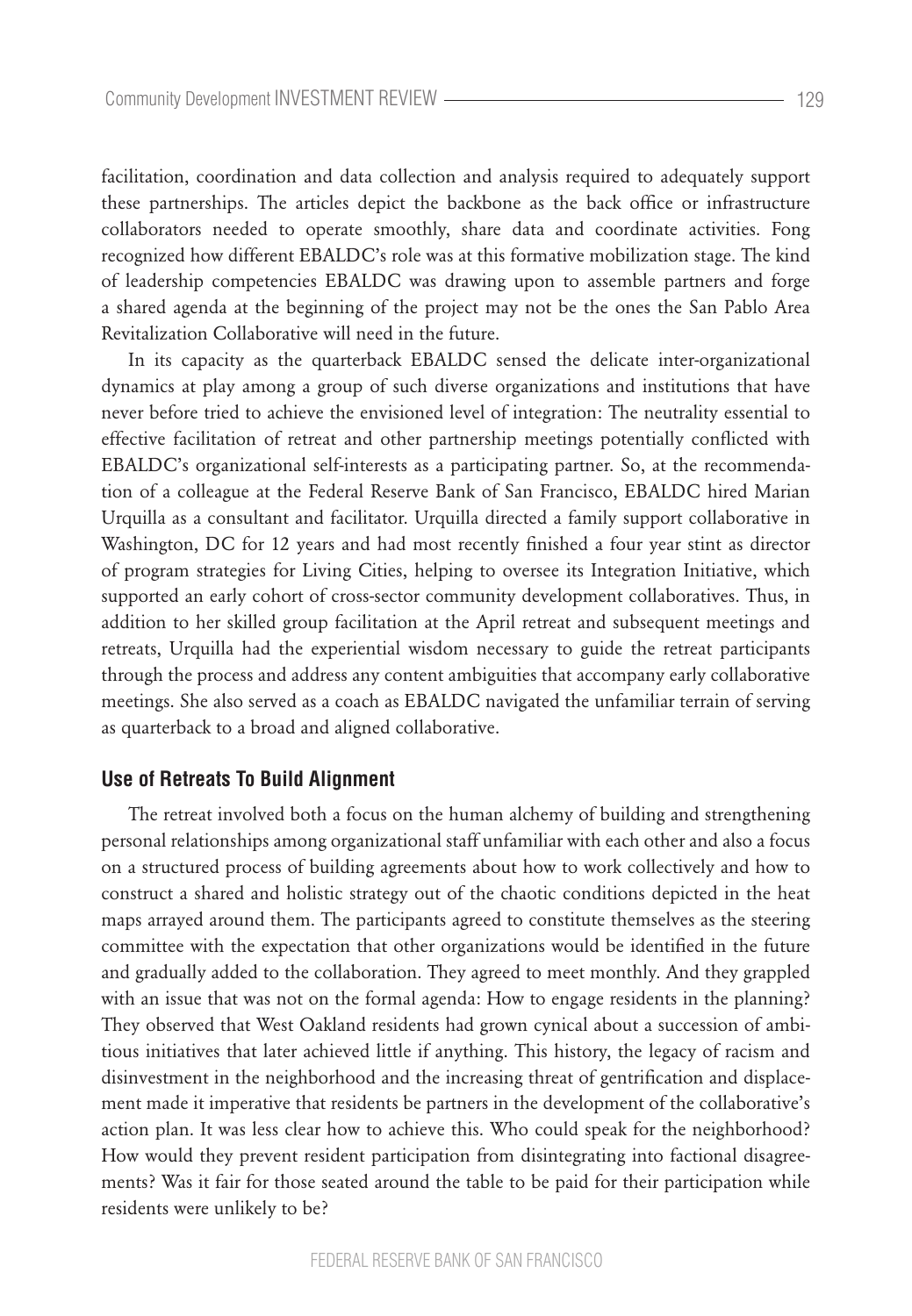facilitation, coordination and data collection and analysis required to adequately support these partnerships. The articles depict the backbone as the back office or infrastructure collaborators needed to operate smoothly, share data and coordinate activities. Fong recognized how different EBALDC's role was at this formative mobilization stage. The kind of leadership competencies EBALDC was drawing upon to assemble partners and forge a shared agenda at the beginning of the project may not be the ones the San Pablo Area Revitalization Collaborative will need in the future.

In its capacity as the quarterback EBALDC sensed the delicate inter-organizational dynamics at play among a group of such diverse organizations and institutions that have never before tried to achieve the envisioned level of integration: The neutrality essential to effective facilitation of retreat and other partnership meetings potentially conflicted with EBALDC's organizational self-interests as a participating partner. So, at the recommendation of a colleague at the Federal Reserve Bank of San Francisco, EBALDC hired Marian Urquilla as a consultant and facilitator. Urquilla directed a family support collaborative in Washington, DC for 12 years and had most recently finished a four year stint as director of program strategies for Living Cities, helping to oversee its Integration Initiative, which supported an early cohort of cross-sector community development collaboratives. Thus, in addition to her skilled group facilitation at the April retreat and subsequent meetings and retreats, Urquilla had the experiential wisdom necessary to guide the retreat participants through the process and address any content ambiguities that accompany early collaborative meetings. She also served as a coach as EBALDC navigated the unfamiliar terrain of serving as quarterback to a broad and aligned collaborative.

## **Use of Retreats To Build Alignment**

The retreat involved both a focus on the human alchemy of building and strengthening personal relationships among organizational staff unfamiliar with each other and also a focus on a structured process of building agreements about how to work collectively and how to construct a shared and holistic strategy out of the chaotic conditions depicted in the heat maps arrayed around them. The participants agreed to constitute themselves as the steering committee with the expectation that other organizations would be identified in the future and gradually added to the collaboration. They agreed to meet monthly. And they grappled with an issue that was not on the formal agenda: How to engage residents in the planning? They observed that West Oakland residents had grown cynical about a succession of ambitious initiatives that later achieved little if anything. This history, the legacy of racism and disinvestment in the neighborhood and the increasing threat of gentrification and displacement made it imperative that residents be partners in the development of the collaborative's action plan. It was less clear how to achieve this. Who could speak for the neighborhood? How would they prevent resident participation from disintegrating into factional disagreements? Was it fair for those seated around the table to be paid for their participation while residents were unlikely to be?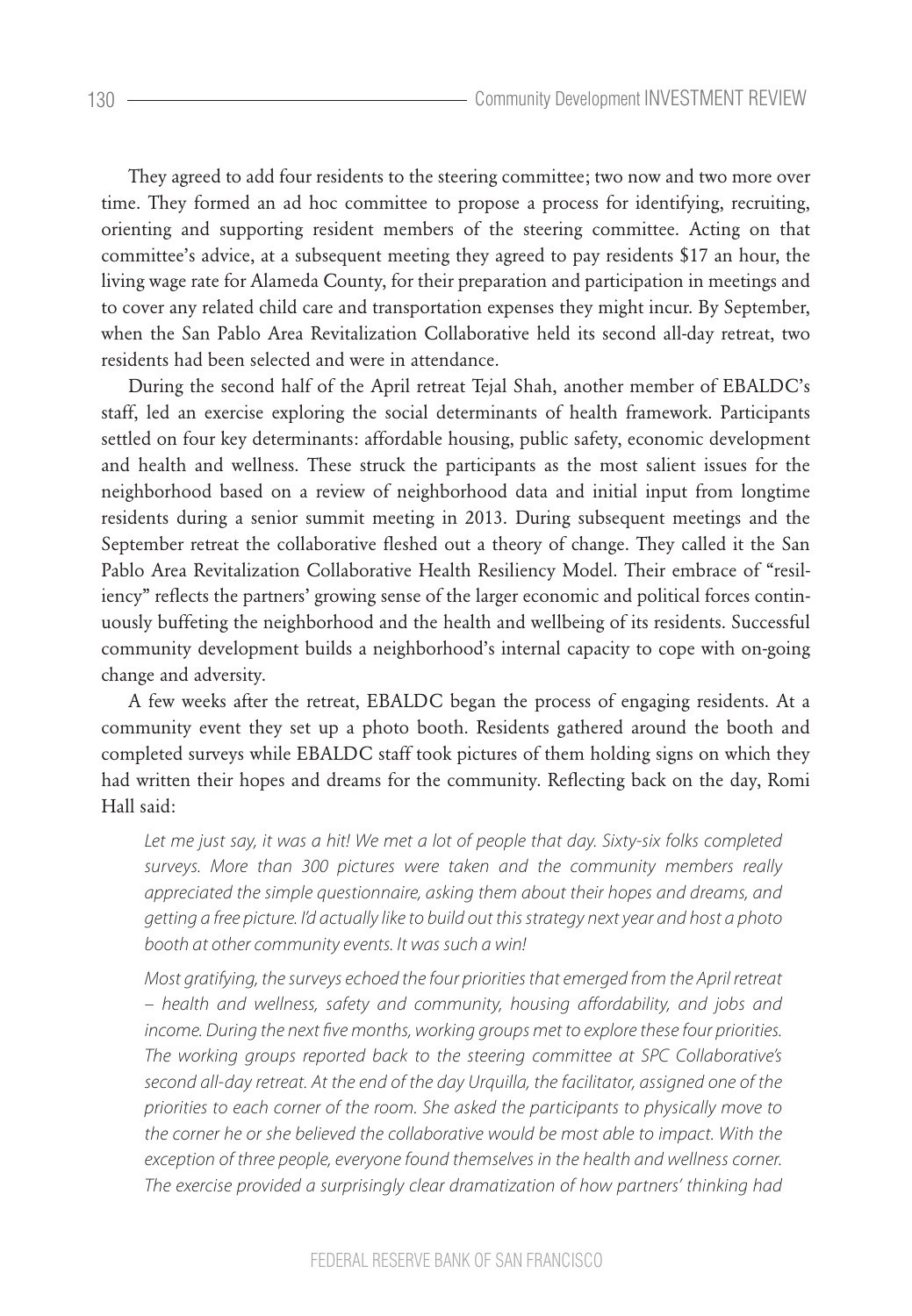They agreed to add four residents to the steering committee; two now and two more over time. They formed an ad hoc committee to propose a process for identifying, recruiting, orienting and supporting resident members of the steering committee. Acting on that committee's advice, at a subsequent meeting they agreed to pay residents \$17 an hour, the living wage rate for Alameda County, for their preparation and participation in meetings and to cover any related child care and transportation expenses they might incur. By September, when the San Pablo Area Revitalization Collaborative held its second all-day retreat, two residents had been selected and were in attendance.

During the second half of the April retreat Tejal Shah, another member of EBALDC's staff, led an exercise exploring the social determinants of health framework. Participants settled on four key determinants: affordable housing, public safety, economic development and health and wellness. These struck the participants as the most salient issues for the neighborhood based on a review of neighborhood data and initial input from longtime residents during a senior summit meeting in 2013. During subsequent meetings and the September retreat the collaborative fleshed out a theory of change. They called it the San Pablo Area Revitalization Collaborative Health Resiliency Model. Their embrace of "resiliency" reflects the partners' growing sense of the larger economic and political forces continuously buffeting the neighborhood and the health and wellbeing of its residents. Successful community development builds a neighborhood's internal capacity to cope with on-going change and adversity.

A few weeks after the retreat, EBALDC began the process of engaging residents. At a community event they set up a photo booth. Residents gathered around the booth and completed surveys while EBALDC staff took pictures of them holding signs on which they had written their hopes and dreams for the community. Reflecting back on the day, Romi Hall said:

*Let me just say, it was a hit! We met a lot of people that day. Sixty-six folks completed surveys. More than 300 pictures were taken and the community members really appreciated the simple questionnaire, asking them about their hopes and dreams, and getting a free picture. I'd actually like to build out this strategy next year and host a photo booth at other community events. It was such a win!*

*Most gratifying, the surveys echoed the four priorities that emerged from the April retreat – health and wellness, safety and community, housing affordability, and jobs and income. During the next five months, working groups met to explore these four priorities.*  The working groups reported back to the steering committee at SPC Collaborative's *second all-day retreat. At the end of the day Urquilla, the facilitator, assigned one of the priorities to each corner of the room. She asked the participants to physically move to the corner he or she believed the collaborative would be most able to impact. With the exception of three people, everyone found themselves in the health and wellness corner. The exercise provided a surprisingly clear dramatization of how partners' thinking had* 

 $130 -$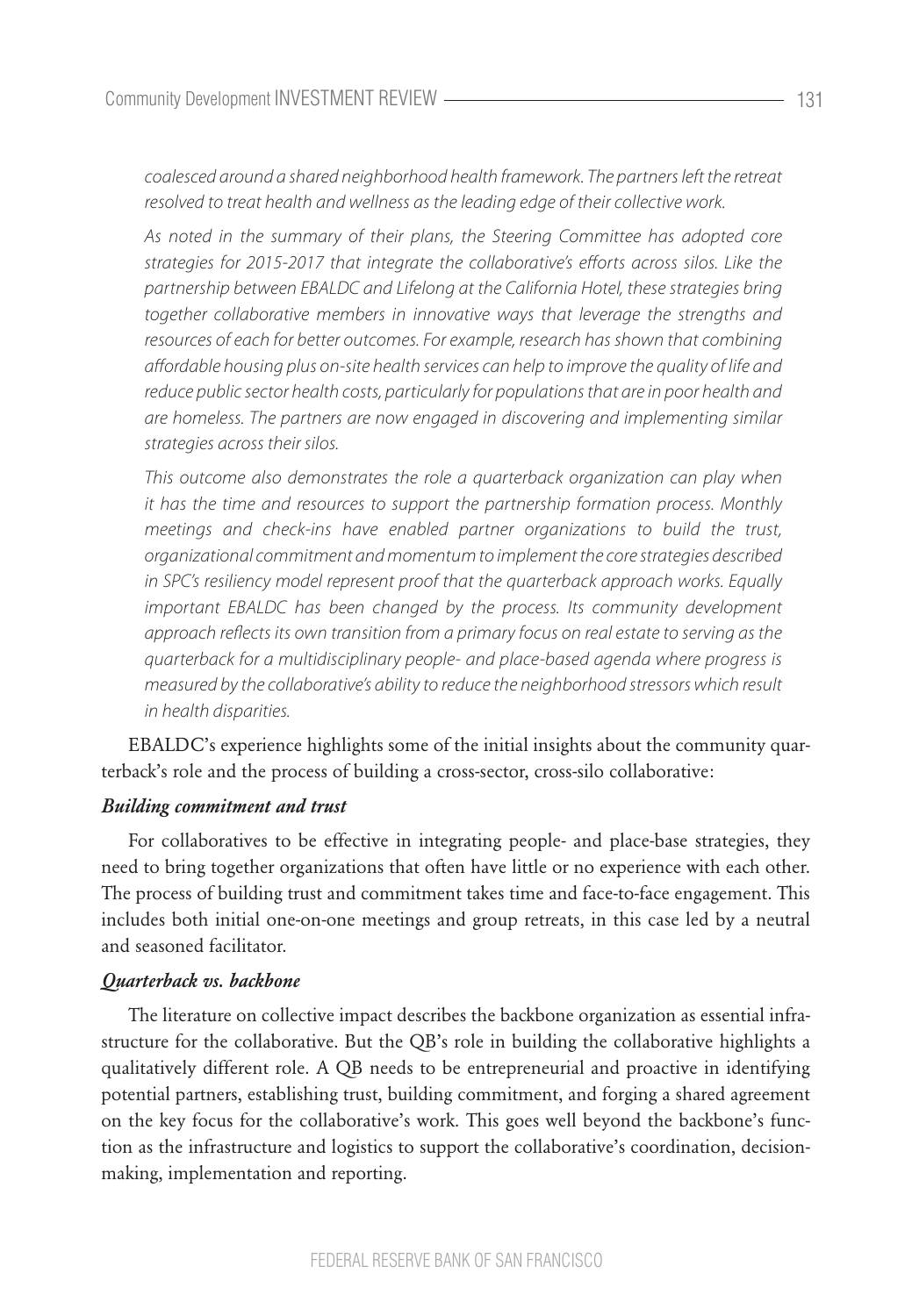*coalesced around a shared neighborhood health framework. The partners left the retreat resolved to treat health and wellness as the leading edge of their collective work.*

*As noted in the summary of their plans, the Steering Committee has adopted core strategies for 2015-2017 that integrate the collaborative's efforts across silos. Like the partnership between EBALDC and Lifelong at the California Hotel, these strategies bring together collaborative members in innovative ways that leverage the strengths and resources of each for better outcomes. For example, research has shown that combining affordable housing plus on-site health services can help to improve the quality of life and reduce public sector health costs, particularly for populations that are in poor health and are homeless. The partners are now engaged in discovering and implementing similar strategies across their silos.*

*This outcome also demonstrates the role a quarterback organization can play when it has the time and resources to support the partnership formation process. Monthly meetings and check-ins have enabled partner organizations to build the trust, organizational commitment and momentum to implement the core strategies described in SPC's resiliency model represent proof that the quarterback approach works. Equally important EBALDC has been changed by the process. Its community development approach reflects its own transition from a primary focus on real estate to serving as the quarterback for a multidisciplinary people- and place-based agenda where progress is measured by the collaborative's ability to reduce the neighborhood stressors which result in health disparities.*

EBALDC's experience highlights some of the initial insights about the community quarterback's role and the process of building a cross-sector, cross-silo collaborative:

#### *Building commitment and trust*

For collaboratives to be effective in integrating people- and place-base strategies, they need to bring together organizations that often have little or no experience with each other. The process of building trust and commitment takes time and face-to-face engagement. This includes both initial one-on-one meetings and group retreats, in this case led by a neutral and seasoned facilitator.

#### *Quarterback vs. backbone*

The literature on collective impact describes the backbone organization as essential infrastructure for the collaborative. But the QB's role in building the collaborative highlights a qualitatively different role. A QB needs to be entrepreneurial and proactive in identifying potential partners, establishing trust, building commitment, and forging a shared agreement on the key focus for the collaborative's work. This goes well beyond the backbone's function as the infrastructure and logistics to support the collaborative's coordination, decisionmaking, implementation and reporting.